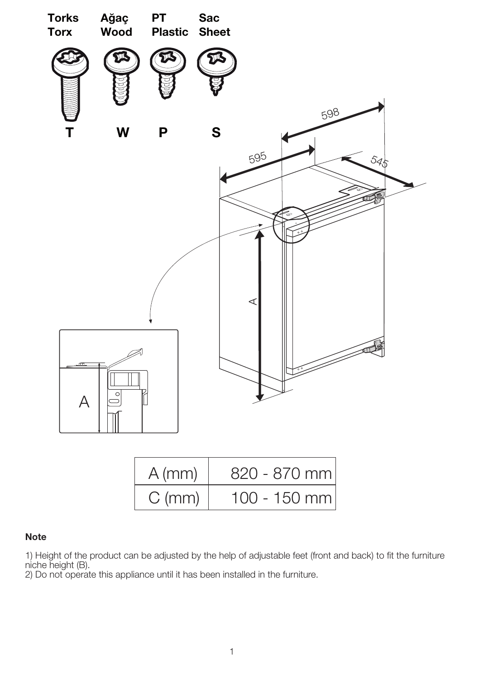

| $A$ (mm) | 820 - 870 mm |
|----------|--------------|
| $C$ (mm) | 100 - 150 mm |

## Note

1) Height of the product can be adjusted by the help of adjustable feet (front and back) to fit the furniture niche height (B).

2) Do not operate this appliance until it has been installed in the furniture.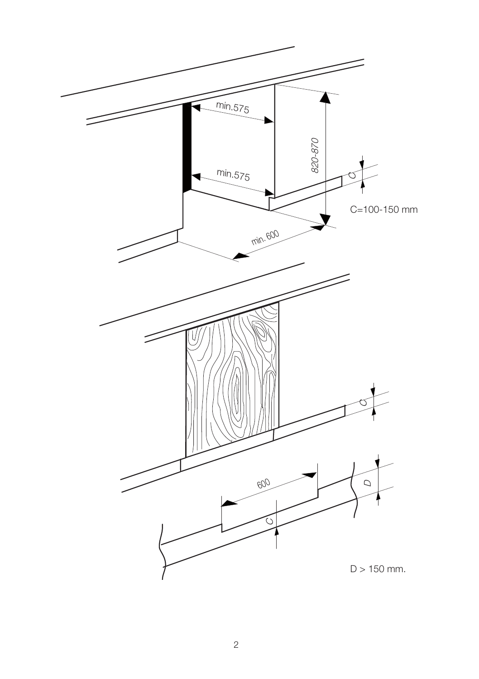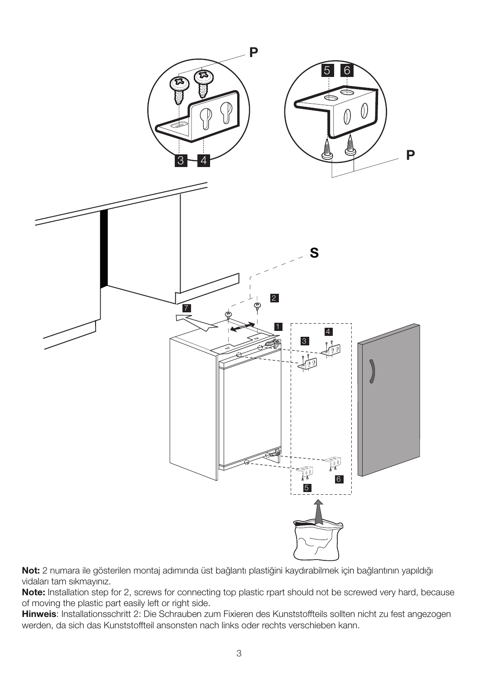

Not: 2 numara ile gösterilen montaj adımında üst bağlantı plastiğini kaydırabilmek için bağlantının yapıldığı vidaları tam sıkmayınız.

Note: Installation step for 2, screws for connecting top plastic rpart should not be screwed very hard, because of moving the plastic part easily left or right side.

Hinweis: Installationsschritt 2: Die Schrauben zum Fixieren des Kunststoffteils sollten nicht zu fest angezogen werden, da sich das Kunststoffteil ansonsten nach links oder rechts verschieben kann.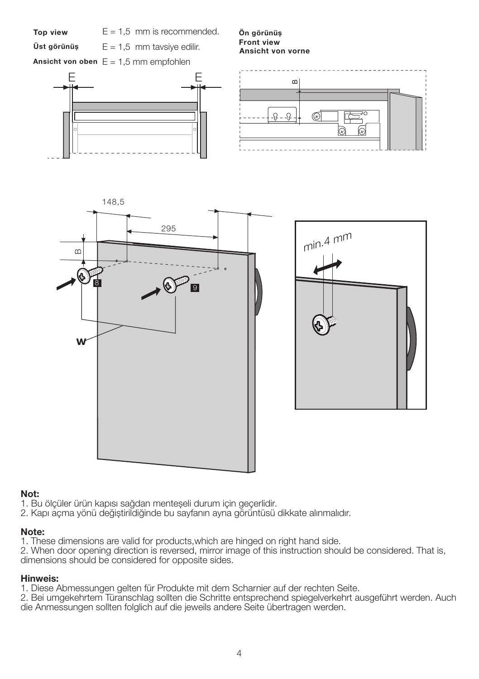

## Not:

- 1. Bu ölçüler ürün kapısı sağdan menteșeli durum için geçerlidir.
- 2. Kapı açma yönü değiștirildiğinde bu sayfanın ayna görüntüsü dikkate alınmalıdır.

## Note:

1. These dimensions are valid for products,which are hinged on right hand side.

2. When door opening direction is reversed, mirror image of this instruction should be considered. That is, dimensions should be considered for opposite sides.

## Hinweis:

1. Diese Abmessungen gelten für Produkte mit dem Scharnier auf der rechten Seite.

2. Bei umgekehrtem Türanschlag sollten die Schritte entsprechend spiegelverkehrt ausgeführt werden. Auch die Anmessungen sollten folglich auf die jeweils andere Seite übertragen werden.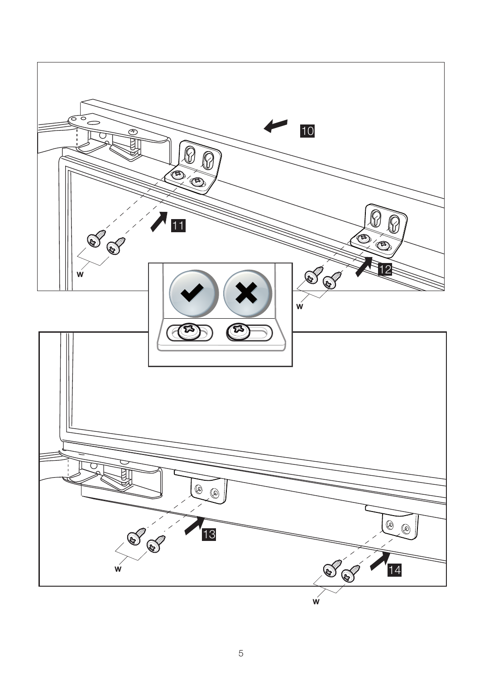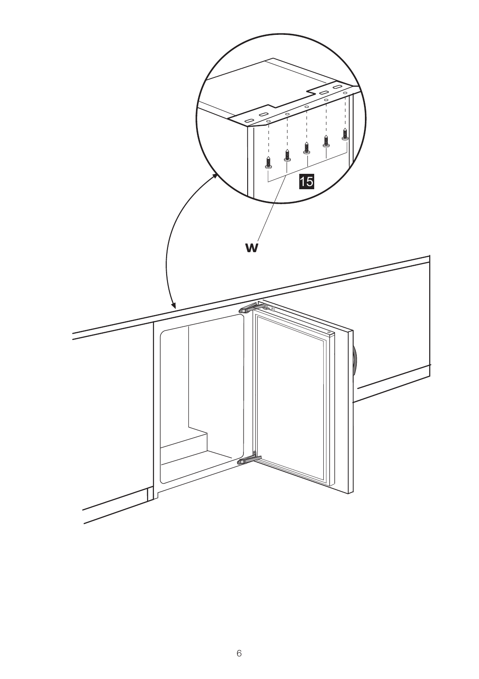